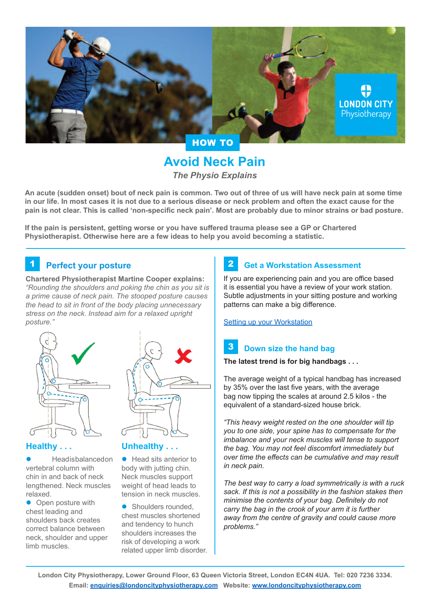

# **Avoid Neck Pain** *The Physio Explains*

**An acute (sudden onset) bout of neck pain is common. Two out of three of us will have neck pain at some time in our life. In most cases it is not due to a serious disease or neck problem and often the exact cause for the pain is not clear. This is called 'non-specific neck pain'. Most are probably due to minor strains or bad posture.**

**If the pain is persistent, getting worse or you have suffered trauma please see a GP or Chartered Physiotherapist. Otherwise here are a few ideas to help you avoid becoming a statistic.**

# **1** Perfect your posture **1** 2

**Chartered Physiotherapist Martine Cooper explains:** *"Rounding the shoulders and poking the chin as you sit is a prime cause of neck pain. The stooped posture causes the head to sit in front of the body placing unnecessary stress on the neck. Instead aim for a relaxed upright posture."*



### **Healthy . . .**

Head is balanced on vertebral column with chin in and back of neck lengthened. Neck muscles relaxed.

• Open posture with chest leading and shoulders back creates correct balance between neck, shoulder and upper limb muscles.

## **Unhealthy . . .**

 $\bullet$  Head sits anterior to body with jutting chin. Neck muscles support weight of head leads to tension in neck muscles.

• Shoulders rounded, chest muscles shortened and tendency to hunch shoulders increases the risk of developing a work related upper limb disorder.

# **Get a Workstation Assessment**

If you are experiencing pain and you are office based it is essential you have a review of your work station. Subtle adjustments in your sitting posture and working patterns can make a big difference.

[Setting up your Workstation](http://londoncityphysiotherapy.com/setting-up-your-workstation/)

#### **Down size the hand bag** 3

### **The latest trend is for big handbags . . .**

The average weight of a typical handbag has increased by 35% over the last five years, with the average bag now tipping the scales at around 2.5 kilos - the equivalent of a standard-sized house brick.

*"This heavy weight rested on the one shoulder will tip you to one side, your spine has to compensate for the imbalance and your neck muscles will tense to support the bag. You may not feel discomfort immediately but over time the effects can be cumulative and may result in neck pain.*

*The best way to carry a load symmetrically is with a ruck sack. If this is not a possibility in the fashion stakes then minimise the contents of your bag. Definitely do not carry the bag in the crook of your arm it is further away from the centre of gravity and could cause more problems."*